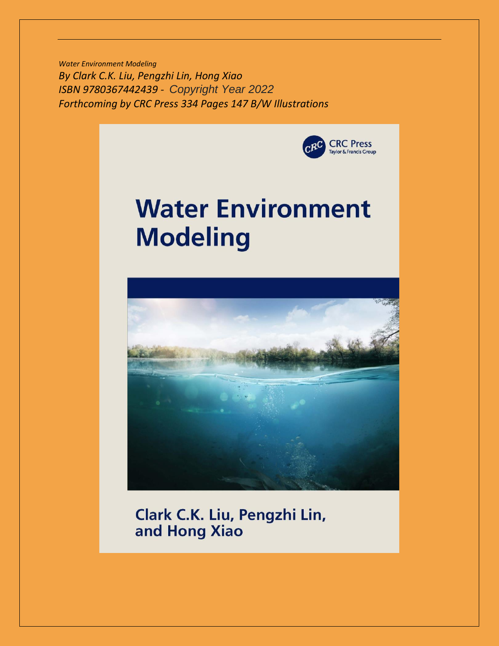*Water Environment Modeling By Clark C.K. Liu, Pengzhi Lin, Hong Xiao ISBN 9780367442439 - Copyright Year 2022 Forthcoming by CRC Press 334 Pages 147 B/W Illustrations* 



## **Water Environment Modeling**



Clark C.K. Liu, Pengzhi Lin, and Hong Xiao